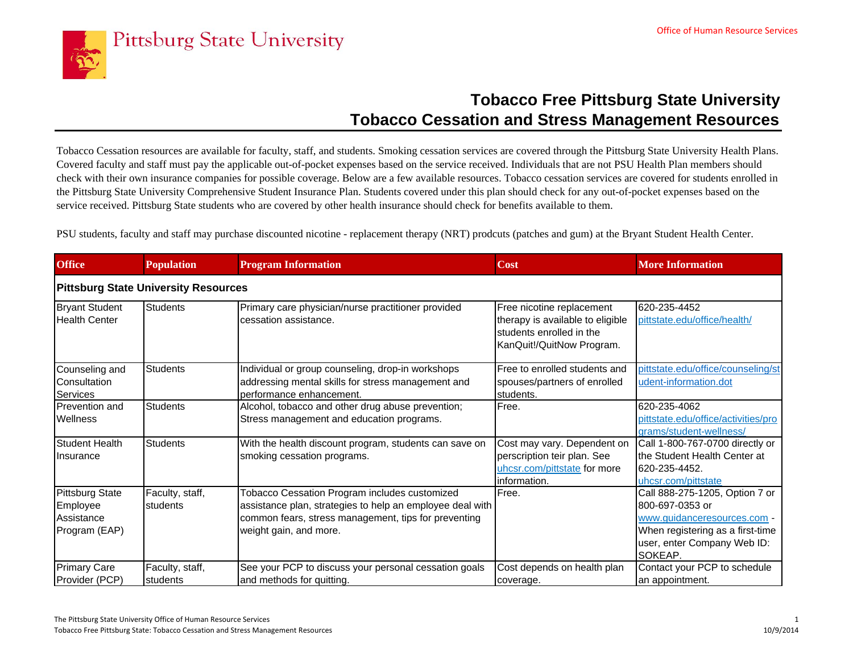

## **Tobacco Free Pittsburg State University Tobacco Cessation and Stress Management Resources**

Tobacco Cessation resources are available for faculty, staff, and students. Smoking cessation services are covered through the Pittsburg State University Health Plans. Covered faculty and staff must pay the applicable out-of-pocket expenses based on the service received. Individuals that are not PSU Health Plan members should check with their own insurance companies for possible coverage. Below are a few available resources. Tobacco cessation services are covered for students enrolled in the Pittsburg State University Comprehensive Student Insurance Plan. Students covered under this plan should check for any out-of-pocket expenses based on the service received. Pittsburg State students who are covered by other health insurance should check for benefits available to them.

PSU students, faculty and staff may purchase discounted nicotine - replacement therapy (NRT) prodcuts (patches and gum) at the Bryant Student Health Center.

| <b>Office</b>                                                     | <b>Population</b>           | <b>Program Information</b>                                                                                                                                                                   | <b>Cost</b>                                                                                                            | <b>More Information</b>                                                                                                                                        |  |  |  |  |
|-------------------------------------------------------------------|-----------------------------|----------------------------------------------------------------------------------------------------------------------------------------------------------------------------------------------|------------------------------------------------------------------------------------------------------------------------|----------------------------------------------------------------------------------------------------------------------------------------------------------------|--|--|--|--|
| <b>Pittsburg State University Resources</b>                       |                             |                                                                                                                                                                                              |                                                                                                                        |                                                                                                                                                                |  |  |  |  |
| <b>Bryant Student</b><br><b>Health Center</b>                     | <b>Students</b>             | Primary care physician/nurse practitioner provided<br>cessation assistance.                                                                                                                  | Free nicotine replacement<br>therapy is available to eligible<br>students enrolled in the<br>KanQuit!/QuitNow Program. | 620-235-4452<br>pittstate.edu/office/health/                                                                                                                   |  |  |  |  |
| Counseling and<br>Consultation<br>Services                        | <b>Students</b>             | Individual or group counseling, drop-in workshops<br>addressing mental skills for stress management and<br>performance enhancement.                                                          | Free to enrolled students and<br>spouses/partners of enrolled<br>students.                                             | pittstate.edu/office/counseling/st<br>udent-information.dot                                                                                                    |  |  |  |  |
| Prevention and<br><b>Wellness</b>                                 | <b>Students</b>             | Alcohol, tobacco and other drug abuse prevention;<br>Stress management and education programs.                                                                                               | Free.                                                                                                                  | 620-235-4062<br>pittstate.edu/office/activities/pro<br>grams/student-wellness/                                                                                 |  |  |  |  |
| Student Health<br><b>Insurance</b>                                | Students                    | With the health discount program, students can save on<br>smoking cessation programs.                                                                                                        | Cost may vary. Dependent on<br>perscription teir plan. See<br>uhcsr.com/pittstate for more<br>information.             | Call 1-800-767-0700 directly or<br>the Student Health Center at<br>620-235-4452.<br>uhcsr.com/pittstate                                                        |  |  |  |  |
| <b>Pittsburg State</b><br>Employee<br>Assistance<br>Program (EAP) | Faculty, staff,<br>students | Tobacco Cessation Program includes customized<br>assistance plan, strategies to help an employee deal with<br>common fears, stress management, tips for preventing<br>weight gain, and more. | Free.                                                                                                                  | Call 888-275-1205, Option 7 or<br>800-697-0353 or<br>www.quidanceresources.com -<br>When registering as a first-time<br>user, enter Company Web ID:<br>SOKEAP. |  |  |  |  |
| <b>Primary Care</b><br>Provider (PCP)                             | Faculty, staff,<br>students | See your PCP to discuss your personal cessation goals<br>and methods for quitting.                                                                                                           | Cost depends on health plan<br>coverage.                                                                               | Contact your PCP to schedule<br>an appointment.                                                                                                                |  |  |  |  |